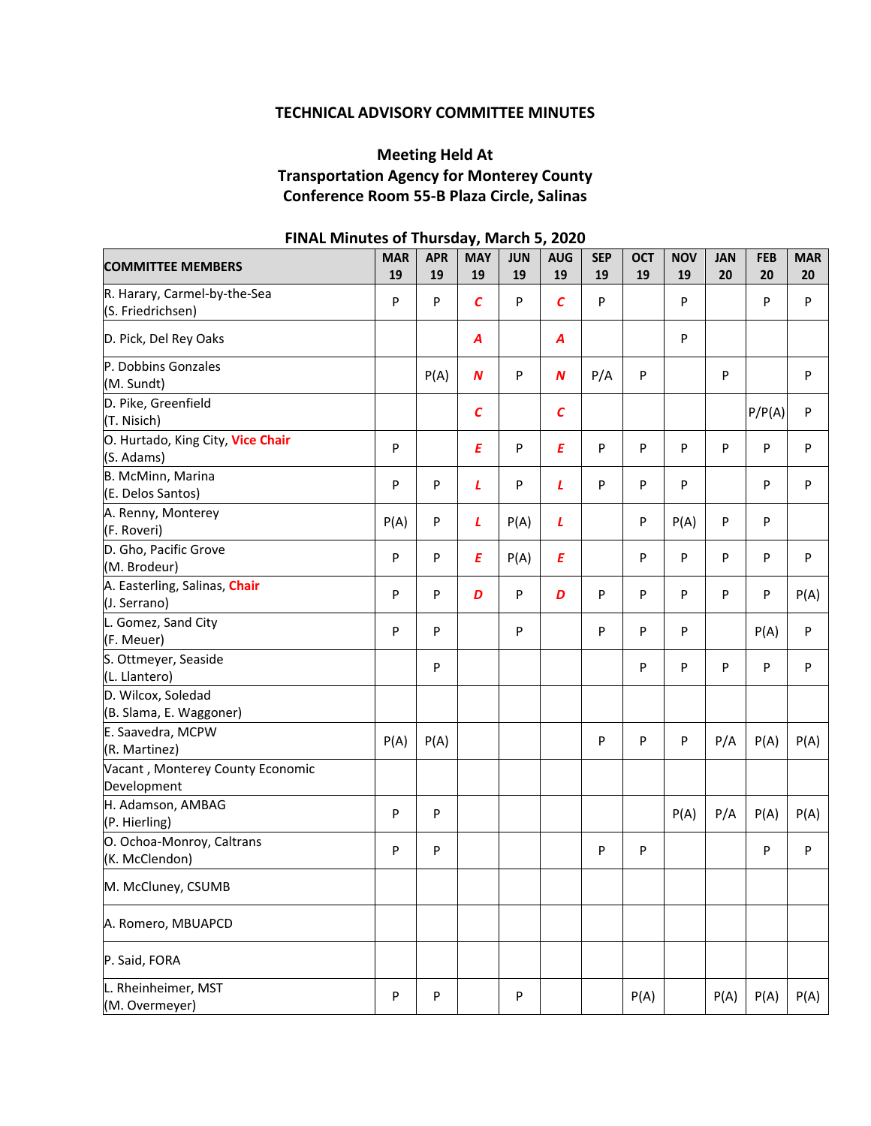# **TECHNICAL ADVISORY COMMITTEE MINUTES**

# **Meeting Held At Transportation Agency for Monterey County Conference Room 55‐B Plaza Circle, Salinas**

| <b>COMMITTEE MEMBERS</b>                          | <b>MAR</b><br>19 | <b>APR</b><br>19 | <b>MAY</b><br>19 | <b>JUN</b><br>19 | <b>AUG</b><br>19  | <b>SEP</b><br>19 | <b>OCT</b><br>19 | <b>NOV</b><br>19 | <b>JAN</b><br>20 | <b>FEB</b><br>20 | <b>MAR</b><br>20 |
|---------------------------------------------------|------------------|------------------|------------------|------------------|-------------------|------------------|------------------|------------------|------------------|------------------|------------------|
| R. Harary, Carmel-by-the-Sea<br>(S. Friedrichsen) | P                | P                | $\mathcal{C}$    | P                | $\mathcal{C}_{0}$ | P                |                  | P                |                  | P                | P                |
| D. Pick, Del Rey Oaks                             |                  |                  | A                |                  | A                 |                  |                  | P                |                  |                  |                  |
| P. Dobbins Gonzales<br>(M. Sundt)                 |                  | P(A)             | N                | P                | $\boldsymbol{N}$  | P/A              | P                |                  | P                |                  | $\mathsf{P}$     |
| D. Pike, Greenfield<br>(T. Nisich)                |                  |                  | $\epsilon$       |                  | $\mathcal{C}_{0}$ |                  |                  |                  |                  | P/P(A)           | P                |
| O. Hurtado, King City, Vice Chair<br>(S. Adams)   | P                |                  | E                | P                | E                 | P                | P                | P                | P                | P                | P                |
| B. McMinn, Marina<br>(E. Delos Santos)            | ${\sf P}$        | P                | L                | P                | L                 | P                | P                | P                |                  | P                | P                |
| A. Renny, Monterey<br>(F. Roveri)                 | P(A)             | P                | L                | P(A)             | L                 |                  | P                | P(A)             | P                | P                |                  |
| D. Gho, Pacific Grove<br>(M. Brodeur)             | ${\sf P}$        | P                | E                | P(A)             | Ε                 |                  | P                | P                | P                | P                | $\mathsf{P}$     |
| A. Easterling, Salinas, Chair<br>(J. Serrano)     | P                | P                | D                | P                | D                 | P                | P                | P                | P                | P                | P(A)             |
| L. Gomez, Sand City<br>(F. Meuer)                 | ${\sf P}$        | P                |                  | P                |                   | P                | P                | P                |                  | P(A)             | $\mathsf{P}$     |
| S. Ottmeyer, Seaside<br>(L. Llantero)             |                  | ${\sf P}$        |                  |                  |                   |                  | P                | P                | P                | P                | P                |
| D. Wilcox, Soledad<br>(B. Slama, E. Waggoner)     |                  |                  |                  |                  |                   |                  |                  |                  |                  |                  |                  |
| E. Saavedra, MCPW<br>(R. Martinez)                | P(A)             | P(A)             |                  |                  |                   | P                | P                | P                | P/A              | P(A)             | P(A)             |
| Vacant, Monterey County Economic<br>Development   |                  |                  |                  |                  |                   |                  |                  |                  |                  |                  |                  |
| H. Adamson, AMBAG<br>(P. Hierling)                | ${\sf P}$        | P                |                  |                  |                   |                  |                  | P(A)             | P/A              | P(A)             | P(A)             |
| O. Ochoa-Monroy, Caltrans<br>(K. McClendon)       | P                | P                |                  |                  |                   | P                | P                |                  |                  | P                | $\mathsf{P}$     |
| M. McCluney, CSUMB                                |                  |                  |                  |                  |                   |                  |                  |                  |                  |                  |                  |
| A. Romero, MBUAPCD                                |                  |                  |                  |                  |                   |                  |                  |                  |                  |                  |                  |
| P. Said, FORA                                     |                  |                  |                  |                  |                   |                  |                  |                  |                  |                  |                  |
| L. Rheinheimer, MST<br>(M. Overmeyer)             | P                | P                |                  | P                |                   |                  | P(A)             |                  | P(A)             | P(A)             | P(A)             |

## **FINAL Minutes of Thursday, March 5, 2020**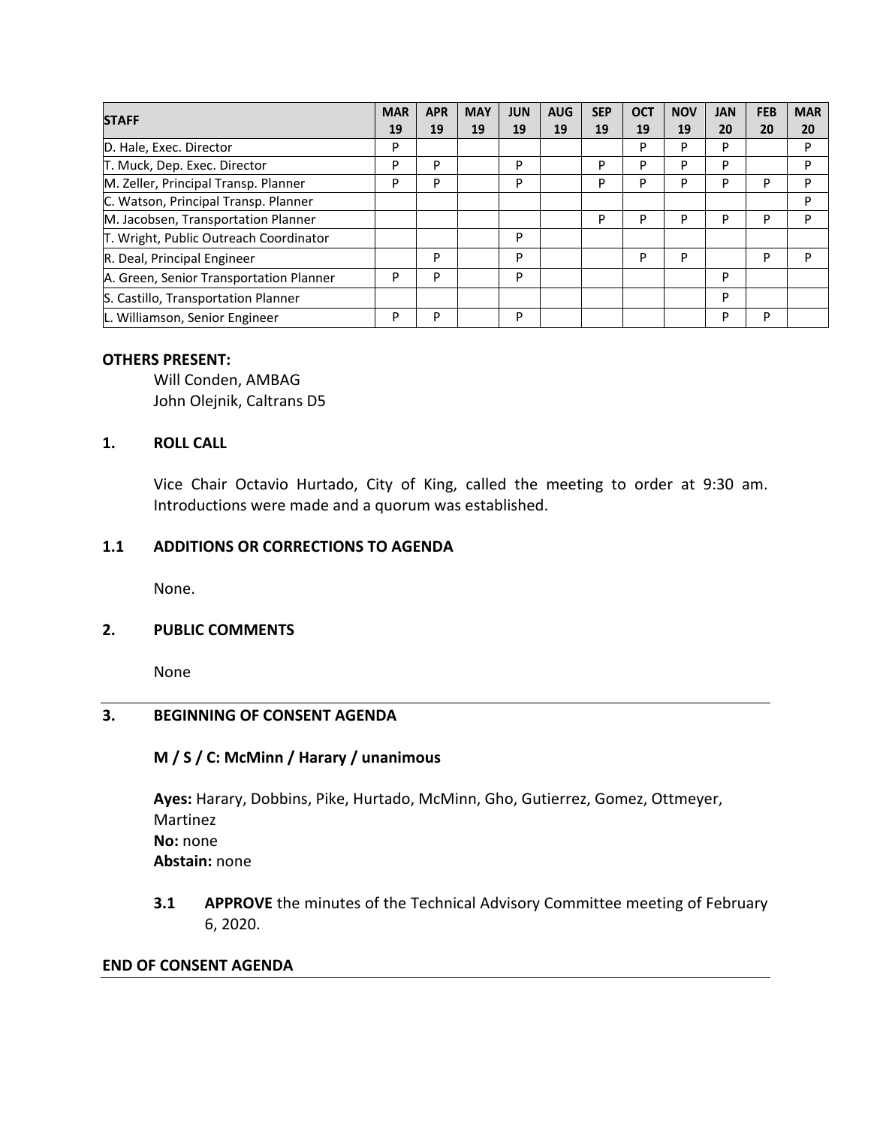| <b>STAFF</b>                            | <b>MAR</b> | <b>APR</b> | <b>MAY</b> | <b>JUN</b> | <b>AUG</b> | <b>SEP</b> | <b>OCT</b> | <b>NOV</b> | <b>JAN</b> | <b>FEB</b> | <b>MAR</b> |
|-----------------------------------------|------------|------------|------------|------------|------------|------------|------------|------------|------------|------------|------------|
|                                         | 19         | 19         | 19         | 19         | 19         | 19         | 19         | 19         | 20         | 20         | 20         |
| D. Hale, Exec. Director                 | P          |            |            |            |            |            | P          | P          | P          |            | P          |
| T. Muck, Dep. Exec. Director            | P          | P          |            | P          |            | P          | P          | P          | P          |            | P          |
| M. Zeller, Principal Transp. Planner    | P          | P          |            | P          |            | P          | P          | P          | P          | P          | P          |
| C. Watson, Principal Transp. Planner    |            |            |            |            |            |            |            |            |            |            | P          |
| M. Jacobsen, Transportation Planner     |            |            |            |            |            | D          | P          | P          | P          | P          | P          |
| T. Wright, Public Outreach Coordinator  |            |            |            | P          |            |            |            |            |            |            |            |
| R. Deal, Principal Engineer             |            | P          |            | P          |            |            | P          | P          |            | P          | P          |
| A. Green, Senior Transportation Planner | P          | P          |            | P          |            |            |            |            | P          |            |            |
| S. Castillo, Transportation Planner     |            |            |            |            |            |            |            |            | P          |            |            |
| L. Williamson, Senior Engineer          | P          | P          |            | P          |            |            |            |            | P          | P          |            |

#### **OTHERS PRESENT:**

 Will Conden, AMBAG John Olejnik, Caltrans D5

### **1. ROLL CALL**

Vice Chair Octavio Hurtado, City of King, called the meeting to order at 9:30 am. Introductions were made and a quorum was established.

## **1.1 ADDITIONS OR CORRECTIONS TO AGENDA**

None.

#### **2. PUBLIC COMMENTS**

None

## **3. BEGINNING OF CONSENT AGENDA**

#### **M / S / C: McMinn / Harary / unanimous**

**Ayes:** Harary, Dobbins, Pike, Hurtado, McMinn, Gho, Gutierrez, Gomez, Ottmeyer, Martinez **No:** none **Abstain:** none

**3.1 APPROVE** the minutes of the Technical Advisory Committee meeting of February 6, 2020.

#### **END OF CONSENT AGENDA**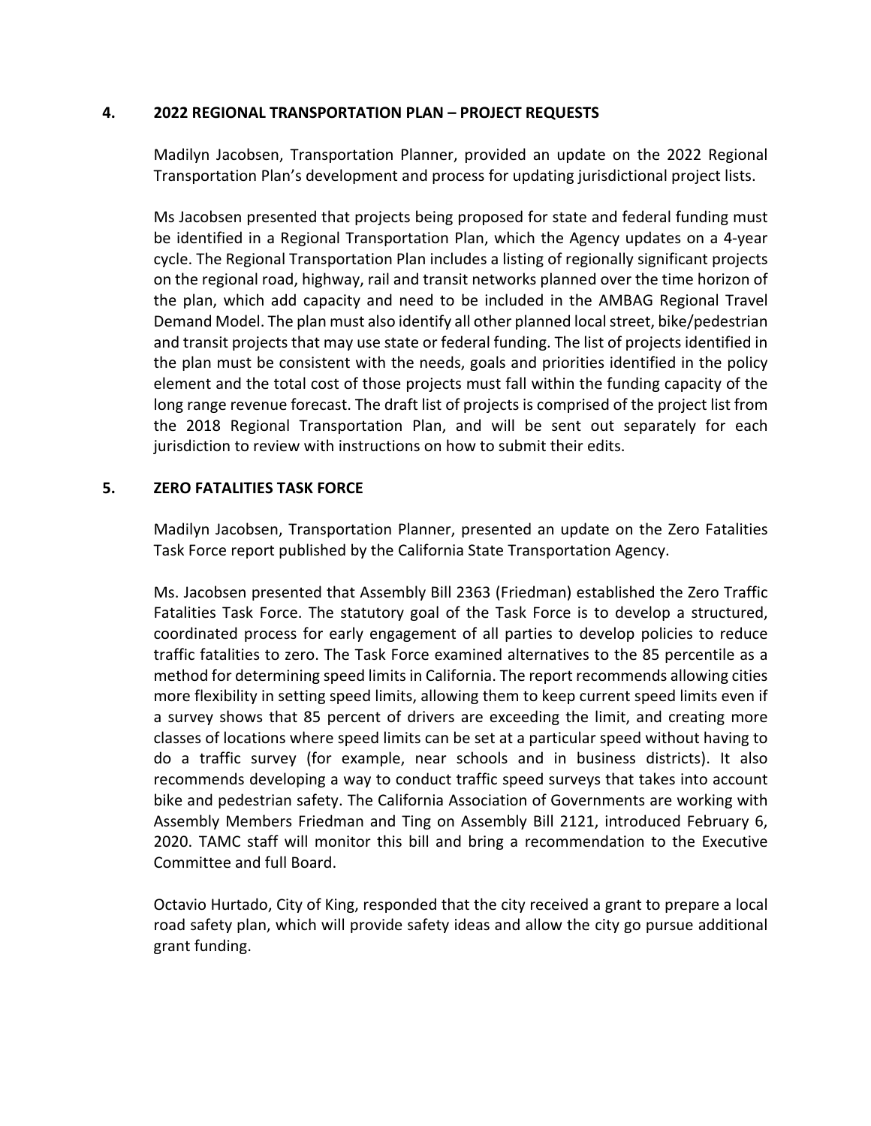#### **4. 2022 REGIONAL TRANSPORTATION PLAN – PROJECT REQUESTS**

Madilyn Jacobsen, Transportation Planner, provided an update on the 2022 Regional Transportation Plan's development and process for updating jurisdictional project lists.

Ms Jacobsen presented that projects being proposed for state and federal funding must be identified in a Regional Transportation Plan, which the Agency updates on a 4-year cycle. The Regional Transportation Plan includes a listing of regionally significant projects on the regional road, highway, rail and transit networks planned over the time horizon of the plan, which add capacity and need to be included in the AMBAG Regional Travel Demand Model. The plan must also identify all other planned local street, bike/pedestrian and transit projects that may use state or federal funding. The list of projects identified in the plan must be consistent with the needs, goals and priorities identified in the policy element and the total cost of those projects must fall within the funding capacity of the long range revenue forecast. The draft list of projects is comprised of the project list from the 2018 Regional Transportation Plan, and will be sent out separately for each jurisdiction to review with instructions on how to submit their edits.

## **5. ZERO FATALITIES TASK FORCE**

Madilyn Jacobsen, Transportation Planner, presented an update on the Zero Fatalities Task Force report published by the California State Transportation Agency.

Ms. Jacobsen presented that Assembly Bill 2363 (Friedman) established the Zero Traffic Fatalities Task Force. The statutory goal of the Task Force is to develop a structured, coordinated process for early engagement of all parties to develop policies to reduce traffic fatalities to zero. The Task Force examined alternatives to the 85 percentile as a method for determining speed limits in California. The report recommends allowing cities more flexibility in setting speed limits, allowing them to keep current speed limits even if a survey shows that 85 percent of drivers are exceeding the limit, and creating more classes of locations where speed limits can be set at a particular speed without having to do a traffic survey (for example, near schools and in business districts). It also recommends developing a way to conduct traffic speed surveys that takes into account bike and pedestrian safety. The California Association of Governments are working with Assembly Members Friedman and Ting on Assembly Bill 2121, introduced February 6, 2020. TAMC staff will monitor this bill and bring a recommendation to the Executive Committee and full Board.

Octavio Hurtado, City of King, responded that the city received a grant to prepare a local road safety plan, which will provide safety ideas and allow the city go pursue additional grant funding.